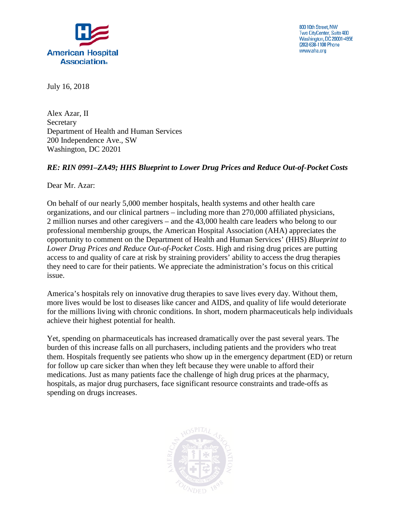

800 10th Street, NW Two CityCenter, Suite 400 Washington, DC 20001-4956 (202) 638-1100 Phone www.aha.org

July 16, 2018

Alex Azar, II **Secretary** Department of Health and Human Services 200 Independence Ave., SW Washington, DC 20201

## *RE: RIN 0991–ZA49; HHS Blueprint to Lower Drug Prices and Reduce Out-of-Pocket Costs*

Dear Mr. Azar:

On behalf of our nearly 5,000 member hospitals, health systems and other health care organizations, and our clinical partners – including more than 270,000 affiliated physicians, 2 million nurses and other caregivers – and the 43,000 health care leaders who belong to our professional membership groups, the American Hospital Association (AHA) appreciates the opportunity to comment on the Department of Health and Human Services' (HHS) *Blueprint to Lower Drug Prices and Reduce Out-of-Pocket Costs*. High and rising drug prices are putting access to and quality of care at risk by straining providers' ability to access the drug therapies they need to care for their patients. We appreciate the administration's focus on this critical issue.

America's hospitals rely on innovative drug therapies to save lives every day. Without them, more lives would be lost to diseases like cancer and AIDS, and quality of life would deteriorate for the millions living with chronic conditions. In short, modern pharmaceuticals help individuals achieve their highest potential for health.

Yet, spending on pharmaceuticals has increased dramatically over the past several years. The burden of this increase falls on all purchasers, including patients and the providers who treat them. Hospitals frequently see patients who show up in the emergency department (ED) or return for follow up care sicker than when they left because they were unable to afford their medications. Just as many patients face the challenge of high drug prices at the pharmacy, hospitals, as major drug purchasers, face significant resource constraints and trade-offs as spending on drugs increases.

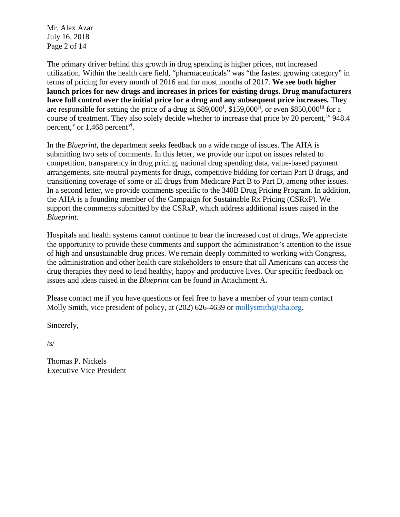Mr. Alex Azar July 16, 2018 Page 2 of 14

The primary driver behind this growth in drug spending is higher prices, not increased utilization. Within the health care field, "pharmaceuticals" was "the fastest growing category" in terms of pricing for every month of 2016 and for most months of 2017. **We see both higher launch prices for new drugs and increases in prices for existing drugs. Drug manufacturers have full control over the initial price for a drug and any subsequent price increases.** They are respons[i](#page-13-0)ble for setting the price of a drug at  $$89,000^i$ ,  $$159,000^i$ , or even  $$850,000^{ii}$  $$850,000^{ii}$  $$850,000^{ii}$  for a course of treatment. They also solely decide whether to increase that price by 20 percent, <sup>[iv](#page-13-3)</sup> 948.4 percent,<sup>[v](#page-13-4)</sup> or 1,468 percent<sup>vi</sup>.

In the *Blueprint*, the department seeks feedback on a wide range of issues. The AHA is submitting two sets of comments. In this letter, we provide our input on issues related to competition, transparency in drug pricing, national drug spending data, value-based payment arrangements, site-neutral payments for drugs, competitive bidding for certain Part B drugs, and transitioning coverage of some or all drugs from Medicare Part B to Part D, among other issues. In a second letter, we provide comments specific to the 340B Drug Pricing Program. In addition, the AHA is a founding member of the Campaign for Sustainable Rx Pricing (CSRxP). We support the comments submitted by the CSRxP, which address additional issues raised in the *Blueprint*.

Hospitals and health systems cannot continue to bear the increased cost of drugs. We appreciate the opportunity to provide these comments and support the administration's attention to the issue of high and unsustainable drug prices. We remain deeply committed to working with Congress, the administration and other health care stakeholders to ensure that all Americans can access the drug therapies they need to lead healthy, happy and productive lives. Our specific feedback on issues and ideas raised in the *Blueprint* can be found in Attachment A.

Please contact me if you have questions or feel free to have a member of your team contact Molly Smith, vice president of policy, at (202) 626-4639 or [mollysmith@aha.org.](mailto:mollysmith@aha.org)

Sincerely,

 $\sqrt{s/}$ 

Thomas P. Nickels Executive Vice President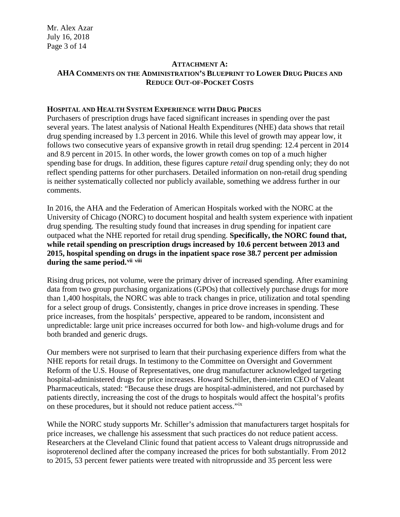Mr. Alex Azar July 16, 2018 Page 3 of 14

## **ATTACHMENT A: AHA COMMENTS ON THE ADMINISTRATION'S BLUEPRINT TO LOWER DRUG PRICES AND REDUCE OUT-OF-POCKET COSTS**

### **HOSPITAL AND HEALTH SYSTEM EXPERIENCE WITH DRUG PRICES**

Purchasers of prescription drugs have faced significant increases in spending over the past several years. The latest analysis of National Health Expenditures (NHE) data shows that retail drug spending increased by 1.3 percent in 2016. While this level of growth may appear low, it follows two consecutive years of expansive growth in retail drug spending: 12.4 percent in 2014 and 8.9 percent in 2015. In other words, the lower growth comes on top of a much higher spending base for drugs. In addition, these figures capture *retail* drug spending only; they do not reflect spending patterns for other purchasers. Detailed information on non-retail drug spending is neither systematically collected nor publicly available, something we address further in our comments.

In 2016, the AHA and the Federation of American Hospitals worked with the NORC at the University of Chicago (NORC) to document hospital and health system experience with inpatient drug spending. The resulting study found that increases in drug spending for inpatient care outpaced what the NHE reported for retail drug spending. **Specifically, the NORC found that, while retail spending on prescription drugs increased by 10.6 percent between 2013 and 2015, hospital spending on drugs in the inpatient space rose 38.7 percent per admission during the same period.[vii](#page-13-6) [viii](#page-13-7)**

Rising drug prices, not volume, were the primary driver of increased spending. After examining data from two group purchasing organizations (GPOs) that collectively purchase drugs for more than 1,400 hospitals, the NORC was able to track changes in price, utilization and total spending for a select group of drugs. Consistently, changes in price drove increases in spending. These price increases, from the hospitals' perspective, appeared to be random, inconsistent and unpredictable: large unit price increases occurred for both low- and high-volume drugs and for both branded and generic drugs.

Our members were not surprised to learn that their purchasing experience differs from what the NHE reports for retail drugs. In testimony to the Committee on Oversight and Government Reform of the U.S. House of Representatives, one drug manufacturer acknowledged targeting hospital-administered drugs for price increases. Howard Schiller, then-interim CEO of Valeant Pharmaceuticals, stated: "Because these drugs are hospital-administered, and not purchased by patients directly, increasing the cost of the drugs to hospitals would affect the hospital's profits on these procedures, but it should not reduce patient access."[ix](#page-13-8)

While the NORC study supports Mr. Schiller's admission that manufacturers target hospitals for price increases, we challenge his assessment that such practices do not reduce patient access. Researchers at the Cleveland Clinic found that patient access to Valeant drugs nitroprusside and isoproterenol declined after the company increased the prices for both substantially. From 2012 to 2015, 53 percent fewer patients were treated with nitroprusside and 35 percent less were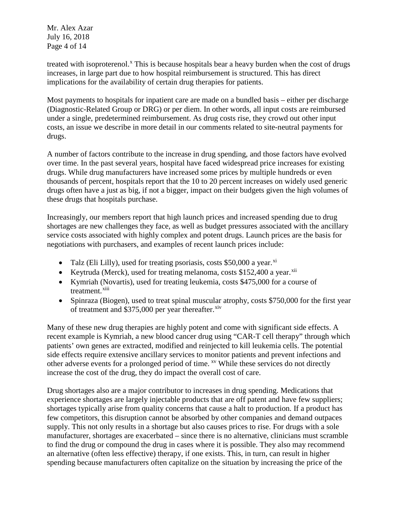Mr. Alex Azar July 16, 2018 Page 4 of 14

treated with isoproterenol.<sup>[x](#page-13-9)</sup> This is because hospitals bear a heavy burden when the cost of drugs increases, in large part due to how hospital reimbursement is structured. This has direct implications for the availability of certain drug therapies for patients.

Most payments to hospitals for inpatient care are made on a bundled basis – either per discharge (Diagnostic-Related Group or DRG) or per diem. In other words, all input costs are reimbursed under a single, predetermined reimbursement. As drug costs rise, they crowd out other input costs, an issue we describe in more detail in our comments related to site-neutral payments for drugs.

A number of factors contribute to the increase in drug spending, and those factors have evolved over time. In the past several years, hospital have faced widespread price increases for existing drugs. While drug manufacturers have increased some prices by multiple hundreds or even thousands of percent, hospitals report that the 10 to 20 percent increases on widely used generic drugs often have a just as big, if not a bigger, impact on their budgets given the high volumes of these drugs that hospitals purchase.

Increasingly, our members report that high launch prices and increased spending due to drug shortages are new challenges they face, as well as budget pressures associated with the ancillary service costs associated with highly complex and potent drugs. Launch prices are the basis for negotiations with purchasers, and examples of recent launch prices include:

- Talz (Eli Lilly), used for treating psoriasis, costs \$50,000 a year.<sup>[xi](#page-13-10)</sup>
- Keytruda (Merck), used for treating melanoma, costs  $$152,400$  a year.<sup>[xii](#page-13-11)</sup>
- Kymriah (Novartis), used for treating leukemia, costs \$475,000 for a course of treatment.<sup>[xiii](#page-13-12)</sup>
- Spinraza (Biogen), used to treat spinal muscular atrophy, costs \$750,000 for the first year of treatment and  $$375,000$  per year thereafter.<sup>[xiv](#page-13-13)</sup>

Many of these new drug therapies are highly potent and come with significant side effects. A recent example is Kymriah, a new blood cancer drug using "CAR-T cell therapy" through which patients' own genes are extracted, modified and reinjected to kill leukemia cells. The potential side effects require extensive ancillary services to monitor patients and prevent infections and other adverse events for a prolonged period of time. <sup>[xv](#page-13-14)</sup> While these services do not directly increase the cost of the drug, they do impact the overall cost of care.

Drug shortages also are a major contributor to increases in drug spending. Medications that experience shortages are largely injectable products that are off patent and have few suppliers; shortages typically arise from quality concerns that cause a halt to production. If a product has few competitors, this disruption cannot be absorbed by other companies and demand outpaces supply. This not only results in a shortage but also causes prices to rise. For drugs with a sole manufacturer, shortages are exacerbated – since there is no alternative, clinicians must scramble to find the drug or compound the drug in cases where it is possible. They also may recommend an alternative (often less effective) therapy, if one exists. This, in turn, can result in higher spending because manufacturers often capitalize on the situation by increasing the price of the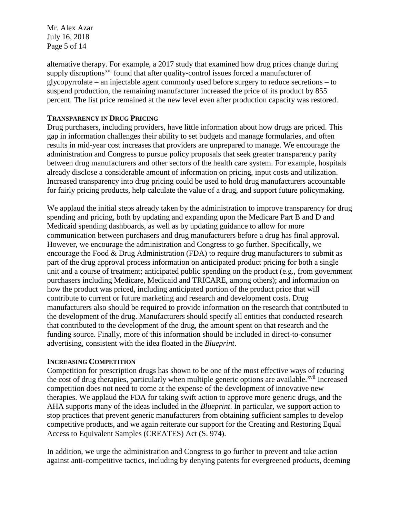Mr. Alex Azar July 16, 2018 Page 5 of 14

alternative therapy. For example, a 2017 study that examined how drug prices change during supply disruptions<sup>[xvi](#page-13-15)</sup> found that after quality-control issues forced a manufacturer of glycopyrrolate – an injectable agent commonly used before surgery to reduce secretions – to suspend production, the remaining manufacturer increased the price of its product by 855 percent. The list price remained at the new level even after production capacity was restored.

#### **TRANSPARENCY IN DRUG PRICING**

Drug purchasers, including providers, have little information about how drugs are priced. This gap in information challenges their ability to set budgets and manage formularies, and often results in mid-year cost increases that providers are unprepared to manage. We encourage the administration and Congress to pursue policy proposals that seek greater transparency parity between drug manufacturers and other sectors of the health care system. For example, hospitals already disclose a considerable amount of information on pricing, input costs and utilization. Increased transparency into drug pricing could be used to hold drug manufacturers accountable for fairly pricing products, help calculate the value of a drug, and support future policymaking.

We applaud the initial steps already taken by the administration to improve transparency for drug spending and pricing, both by updating and expanding upon the Medicare Part B and D and Medicaid spending dashboards, as well as by updating guidance to allow for more communication between purchasers and drug manufacturers before a drug has final approval. However, we encourage the administration and Congress to go further. Specifically, we encourage the Food & Drug Administration (FDA) to require drug manufacturers to submit as part of the drug approval process information on anticipated product pricing for both a single unit and a course of treatment; anticipated public spending on the product (e.g., from government purchasers including Medicare, Medicaid and TRICARE, among others); and information on how the product was priced, including anticipated portion of the product price that will contribute to current or future marketing and research and development costs. Drug manufacturers also should be required to provide information on the research that contributed to the development of the drug. Manufacturers should specify all entities that conducted research that contributed to the development of the drug, the amount spent on that research and the funding source. Finally, more of this information should be included in direct-to-consumer advertising, consistent with the idea floated in the *Blueprint*.

#### **INCREASING COMPETITION**

Competition for prescription drugs has shown to be one of the most effective ways of reducing the cost of drug therapies, particularly when multiple generic options are available.<sup>[xvii](#page-13-16)</sup> Increased competition does not need to come at the expense of the development of innovative new therapies. We applaud the FDA for taking swift action to approve more generic drugs, and the AHA supports many of the ideas included in the *Blueprint*. In particular, we support action to stop practices that prevent generic manufacturers from obtaining sufficient samples to develop competitive products, and we again reiterate our support for the Creating and Restoring Equal Access to Equivalent Samples (CREATES) Act (S. 974).

In addition, we urge the administration and Congress to go further to prevent and take action against anti-competitive tactics, including by denying patents for evergreened products, deeming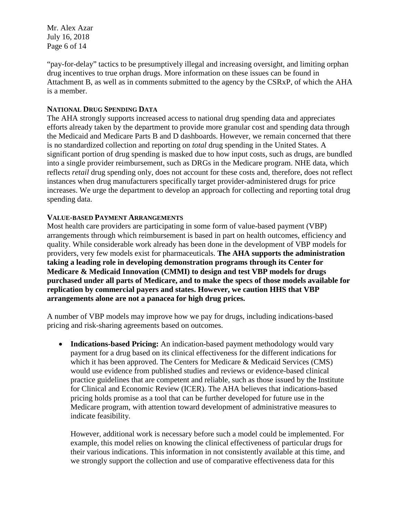Mr. Alex Azar July 16, 2018 Page 6 of 14

"pay-for-delay" tactics to be presumptively illegal and increasing oversight, and limiting orphan drug incentives to true orphan drugs. More information on these issues can be found in Attachment B, as well as in comments submitted to the agency by the CSRxP, of which the AHA is a member.

### **NATIONAL DRUG SPENDING DATA**

The AHA strongly supports increased access to national drug spending data and appreciates efforts already taken by the department to provide more granular cost and spending data through the Medicaid and Medicare Parts B and D dashboards. However, we remain concerned that there is no standardized collection and reporting on *total* drug spending in the United States. A significant portion of drug spending is masked due to how input costs, such as drugs, are bundled into a single provider reimbursement, such as DRGs in the Medicare program. NHE data, which reflects *retail* drug spending only, does not account for these costs and, therefore, does not reflect instances when drug manufacturers specifically target provider-administered drugs for price increases. We urge the department to develop an approach for collecting and reporting total drug spending data.

## **VALUE-BASED PAYMENT ARRANGEMENTS**

Most health care providers are participating in some form of value-based payment (VBP) arrangements through which reimbursement is based in part on health outcomes, efficiency and quality. While considerable work already has been done in the development of VBP models for providers, very few models exist for pharmaceuticals. **The AHA supports the administration taking a leading role in developing demonstration programs through its Center for Medicare & Medicaid Innovation (CMMI) to design and test VBP models for drugs purchased under all parts of Medicare, and to make the specs of those models available for replication by commercial payers and states. However, we caution HHS that VBP arrangements alone are not a panacea for high drug prices.**

A number of VBP models may improve how we pay for drugs, including indications-based pricing and risk-sharing agreements based on outcomes.

• **Indications-based Pricing:** An indication-based payment methodology would vary payment for a drug based on its clinical effectiveness for the different indications for which it has been approved. The Centers for Medicare & Medicaid Services (CMS) would use evidence from published studies and reviews or evidence-based clinical practice guidelines that are competent and reliable, such as those issued by the Institute for Clinical and Economic Review (ICER). The AHA believes that indications-based pricing holds promise as a tool that can be further developed for future use in the Medicare program, with attention toward development of administrative measures to indicate feasibility.

However, additional work is necessary before such a model could be implemented. For example, this model relies on knowing the clinical effectiveness of particular drugs for their various indications. This information in not consistently available at this time, and we strongly support the collection and use of comparative effectiveness data for this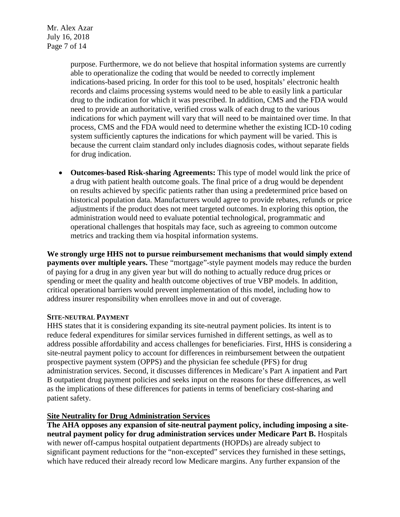Mr. Alex Azar July 16, 2018 Page 7 of 14

> purpose. Furthermore, we do not believe that hospital information systems are currently able to operationalize the coding that would be needed to correctly implement indications-based pricing. In order for this tool to be used, hospitals' electronic health records and claims processing systems would need to be able to easily link a particular drug to the indication for which it was prescribed. In addition, CMS and the FDA would need to provide an authoritative, verified cross walk of each drug to the various indications for which payment will vary that will need to be maintained over time. In that process, CMS and the FDA would need to determine whether the existing ICD-10 coding system sufficiently captures the indications for which payment will be varied. This is because the current claim standard only includes diagnosis codes, without separate fields for drug indication.

• **Outcomes-based Risk-sharing Agreements:** This type of model would link the price of a drug with patient health outcome goals. The final price of a drug would be dependent on results achieved by specific patients rather than using a predetermined price based on historical population data. Manufacturers would agree to provide rebates, refunds or price adjustments if the product does not meet targeted outcomes. In exploring this option, the administration would need to evaluate potential technological, programmatic and operational challenges that hospitals may face, such as agreeing to common outcome metrics and tracking them via hospital information systems.

**We strongly urge HHS not to pursue reimbursement mechanisms that would simply extend payments over multiple years.** These "mortgage"-style payment models may reduce the burden of paying for a drug in any given year but will do nothing to actually reduce drug prices or spending or meet the quality and health outcome objectives of true VBP models. In addition, critical operational barriers would prevent implementation of this model, including how to address insurer responsibility when enrollees move in and out of coverage.

### **SITE-NEUTRAL PAYMENT**

HHS states that it is considering expanding its site-neutral payment policies. Its intent is to reduce federal expenditures for similar services furnished in different settings, as well as to address possible affordability and access challenges for beneficiaries. First, HHS is considering a site-neutral payment policy to account for differences in reimbursement between the outpatient prospective payment system (OPPS) and the physician fee schedule (PFS) for drug administration services. Second, it discusses differences in Medicare's Part A inpatient and Part B outpatient drug payment policies and seeks input on the reasons for these differences, as well as the implications of these differences for patients in terms of beneficiary cost-sharing and patient safety.

### **Site Neutrality for Drug Administration Services**

**The AHA opposes any expansion of site-neutral payment policy, including imposing a siteneutral payment policy for drug administration services under Medicare Part B.** Hospitals with newer off-campus hospital outpatient departments (HOPDs) are already subject to significant payment reductions for the "non-excepted" services they furnished in these settings, which have reduced their already record low Medicare margins. Any further expansion of the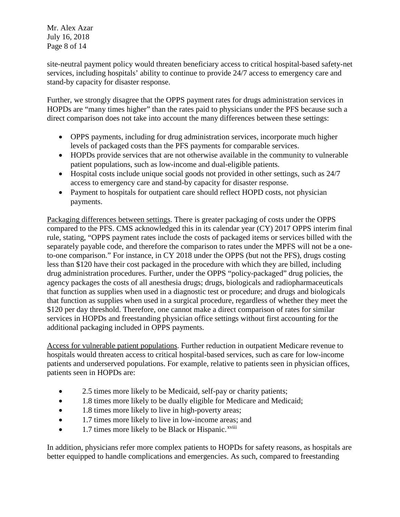Mr. Alex Azar July 16, 2018 Page 8 of 14

site-neutral payment policy would threaten beneficiary access to critical hospital-based safety-net services, including hospitals' ability to continue to provide 24/7 access to emergency care and stand-by capacity for disaster response.

Further, we strongly disagree that the OPPS payment rates for drugs administration services in HOPDs are "many times higher" than the rates paid to physicians under the PFS because such a direct comparison does not take into account the many differences between these settings:

- OPPS payments, including for drug administration services, incorporate much higher levels of packaged costs than the PFS payments for comparable services.
- HOPDs provide services that are not otherwise available in the community to vulnerable patient populations, such as low-income and dual-eligible patients.
- Hospital costs include unique social goods not provided in other settings, such as 24/7 access to emergency care and stand-by capacity for disaster response.
- Payment to hospitals for outpatient care should reflect HOPD costs, not physician payments.

Packaging differences between settings. There is greater packaging of costs under the OPPS compared to the PFS. CMS acknowledged this in its calendar year (CY) 2017 OPPS interim final rule, stating, "OPPS payment rates include the costs of packaged items or services billed with the separately payable code, and therefore the comparison to rates under the MPFS will not be a oneto-one comparison." For instance, in CY 2018 under the OPPS (but not the PFS), drugs costing less than \$120 have their cost packaged in the procedure with which they are billed, including drug administration procedures. Further, under the OPPS "policy-packaged" drug policies, the agency packages the costs of all anesthesia drugs; drugs, biologicals and radiopharmaceuticals that function as supplies when used in a diagnostic test or procedure; and drugs and biologicals that function as supplies when used in a surgical procedure, regardless of whether they meet the \$120 per day threshold. Therefore, one cannot make a direct comparison of rates for similar services in HOPDs and freestanding physician office settings without first accounting for the additional packaging included in OPPS payments.

Access for vulnerable patient populations. Further reduction in outpatient Medicare revenue to hospitals would threaten access to critical hospital-based services, such as care for low-income patients and underserved populations. For example, relative to patients seen in physician offices, patients seen in HOPDs are:

- 2.5 times more likely to be Medicaid, self-pay or charity patients;
- 1.8 times more likely to be dually eligible for Medicare and Medicaid;
- 1.8 times more likely to live in high-poverty areas;
- 1.7 times more likely to live in low-income areas; and
- $\bullet$  1.7 times more likely to be Black or Hispanic.<sup>xviii</sup>

In addition, physicians refer more complex patients to HOPDs for safety reasons, as hospitals are better equipped to handle complications and emergencies. As such, compared to freestanding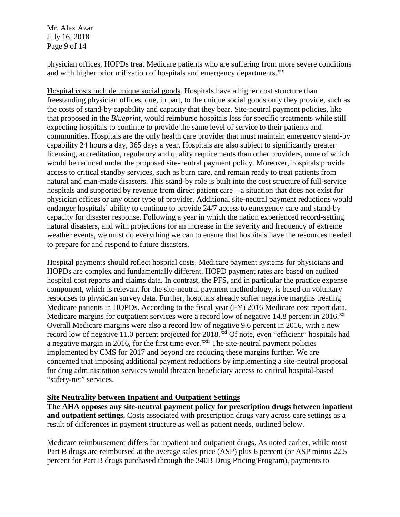Mr. Alex Azar July 16, 2018 Page 9 of 14

physician offices, HOPDs treat Medicare patients who are suffering from more severe conditions and with higher prior utilization of hospitals and emergency departments.<sup>[xix](#page-13-17)</sup>

Hospital costs include unique social goods. Hospitals have a higher cost structure than freestanding physician offices, due, in part, to the unique social goods only they provide, such as the costs of stand-by capability and capacity that they bear. Site-neutral payment policies, like that proposed in the *Blueprint*, would reimburse hospitals less for specific treatments while still expecting hospitals to continue to provide the same level of service to their patients and communities. Hospitals are the only health care provider that must maintain emergency stand-by capability 24 hours a day, 365 days a year. Hospitals are also subject to significantly greater licensing, accreditation, regulatory and quality requirements than other providers, none of which would be reduced under the proposed site-neutral payment policy. Moreover, hospitals provide access to critical standby services, such as burn care, and remain ready to treat patients from natural and man-made disasters. This stand-by role is built into the cost structure of full-service hospitals and supported by revenue from direct patient care – a situation that does not exist for physician offices or any other type of provider. Additional site-neutral payment reductions would endanger hospitals' ability to continue to provide 24/7 access to emergency care and stand-by capacity for disaster response. Following a year in which the nation experienced record-setting natural disasters, and with projections for an increase in the severity and frequency of extreme weather events, we must do everything we can to ensure that hospitals have the resources needed to prepare for and respond to future disasters.

Hospital payments should reflect hospital costs. Medicare payment systems for physicians and HOPDs are complex and fundamentally different. HOPD payment rates are based on audited hospital cost reports and claims data. In contrast, the PFS, and in particular the practice expense component, which is relevant for the site-neutral payment methodology, is based on voluntary responses to physician survey data. Further, hospitals already suffer negative margins treating Medicare patients in HOPDs. According to the fiscal year (FY) 2016 Medicare cost report data, Medicare margins for outpatient services were a record low of negative  $14.8$  percent in  $2016$ <sup>[xx](#page-13-18)</sup> Overall Medicare margins were also a record low of negative 9.6 percent in 2016, with a new record low of negative 11.0 percent projected for 2018.<sup>[xxi](#page-13-19)</sup> Of note, even "efficient" hospitals had a negative margin in 2016, for the first time ever. $x^{\text{axii}}$  The site-neutral payment policies implemented by CMS for 2017 and beyond are reducing these margins further. We are concerned that imposing additional payment reductions by implementing a site-neutral proposal for drug administration services would threaten beneficiary access to critical hospital-based "safety-net" services.

### **Site Neutrality between Inpatient and Outpatient Settings**

**The AHA opposes any site-neutral payment policy for prescription drugs between inpatient and outpatient settings.** Costs associated with prescription drugs vary across care settings as a result of differences in payment structure as well as patient needs, outlined below.

Medicare reimbursement differs for inpatient and outpatient drugs. As noted earlier, while most Part B drugs are reimbursed at the average sales price (ASP) plus 6 percent (or ASP minus 22.5 percent for Part B drugs purchased through the 340B Drug Pricing Program), payments to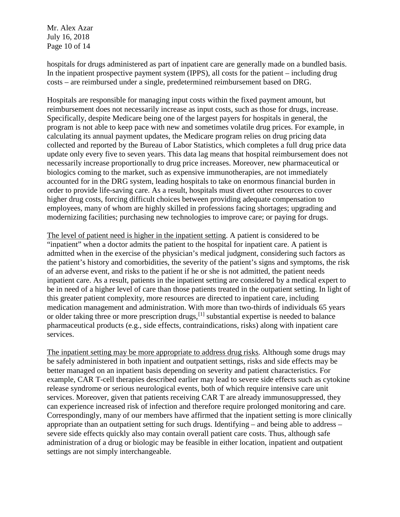Mr. Alex Azar July 16, 2018 Page 10 of 14

hospitals for drugs administered as part of inpatient care are generally made on a bundled basis. In the inpatient prospective payment system (IPPS), all costs for the patient – including drug costs – are reimbursed under a single, predetermined reimbursement based on DRG.

Hospitals are responsible for managing input costs within the fixed payment amount, but reimbursement does not necessarily increase as input costs, such as those for drugs, increase. Specifically, despite Medicare being one of the largest payers for hospitals in general, the program is not able to keep pace with new and sometimes volatile drug prices. For example, in calculating its annual payment updates, the Medicare program relies on drug pricing data collected and reported by the Bureau of Labor Statistics, which completes a full drug price data update only every five to seven years. This data lag means that hospital reimbursement does not necessarily increase proportionally to drug price increases. Moreover, new pharmaceutical or biologics coming to the market, such as expensive immunotherapies, are not immediately accounted for in the DRG system, leading hospitals to take on enormous financial burden in order to provide life-saving care. As a result, hospitals must divert other resources to cover higher drug costs, forcing difficult choices between providing adequate compensation to employees, many of whom are highly skilled in professions facing shortages; upgrading and modernizing facilities; purchasing new technologies to improve care; or paying for drugs.

The level of patient need is higher in the inpatient setting. A patient is considered to be "inpatient" when a doctor admits the patient to the hospital for inpatient care. A patient is admitted when in the exercise of the physician's medical judgment, considering such factors as the patient's history and comorbidities, the severity of the patient's signs and symptoms, the risk of an adverse event, and risks to the patient if he or she is not admitted, the patient needs inpatient care. As a result, patients in the inpatient setting are considered by a medical expert to be in need of a higher level of care than those patients treated in the outpatient setting. In light of this greater patient complexity, more resources are directed to inpatient care, including medication management and administration. With more than two-thirds of individuals 65 years or older taking three or more prescription drugs,<sup>[\[1\]](#page-13-21)</sup> substantial expertise is needed to balance pharmaceutical products (e.g., side effects, contraindications, risks) along with inpatient care services.

The inpatient setting may be more appropriate to address drug risks*.* Although some drugs may be safely administered in both inpatient and outpatient settings, risks and side effects may be better managed on an inpatient basis depending on severity and patient characteristics. For example, CAR T-cell therapies described earlier may lead to severe side effects such as cytokine release syndrome or serious neurological events, both of which require intensive care unit services. Moreover, given that patients receiving CAR T are already immunosuppressed, they can experience increased risk of infection and therefore require prolonged monitoring and care. Correspondingly, many of our members have affirmed that the inpatient setting is more clinically appropriate than an outpatient setting for such drugs. Identifying – and being able to address – severe side effects quickly also may contain overall patient care costs. Thus, although safe administration of a drug or biologic may be feasible in either location, inpatient and outpatient settings are not simply interchangeable.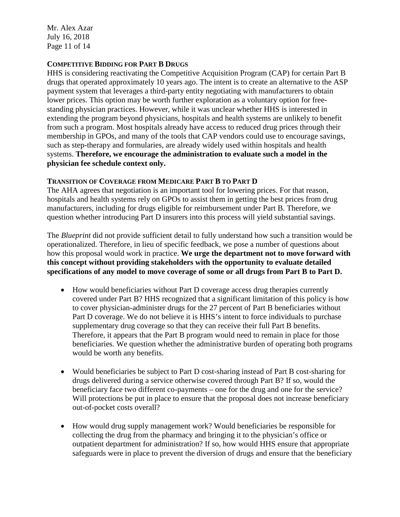Mr. Alex Azar July 16, 2018 Page 11 of 14

## **COMPETITIVE BIDDING FOR PART B DRUGS**

HHS is considering reactivating the Competitive Acquisition Program (CAP) for certain Part B drugs that operated approximately 10 years ago. The intent is to create an alternative to the ASP payment system that leverages a third-party entity negotiating with manufacturers to obtain lower prices. This option may be worth further exploration as a voluntary option for freestanding physician practices. However, while it was unclear whether HHS is interested in extending the program beyond physicians, hospitals and health systems are unlikely to benefit from such a program. Most hospitals already have access to reduced drug prices through their membership in GPOs, and many of the tools that CAP vendors could use to encourage savings, such as step-therapy and formularies, are already widely used within hospitals and health systems. **Therefore, we encourage the administration to evaluate such a model in the physician fee schedule context only.**

### **TRANSITION OF COVERAGE FROM MEDICARE PART B TO PART D**

The AHA agrees that negotiation is an important tool for lowering prices. For that reason, hospitals and health systems rely on GPOs to assist them in getting the best prices from drug manufacturers, including for drugs eligible for reimbursement under Part B. Therefore, we question whether introducing Part D insurers into this process will yield substantial savings.

The *Blueprint* did not provide sufficient detail to fully understand how such a transition would be operationalized. Therefore, in lieu of specific feedback, we pose a number of questions about how this proposal would work in practice. **We urge the department not to move forward with this concept without providing stakeholders with the opportunity to evaluate detailed specifications of any model to move coverage of some or all drugs from Part B to Part D.**

- How would beneficiaries without Part D coverage access drug therapies currently covered under Part B? HHS recognized that a significant limitation of this policy is how to cover physician-administer drugs for the 27 percent of Part B beneficiaries without Part D coverage. We do not believe it is HHS's intent to force individuals to purchase supplementary drug coverage so that they can receive their full Part B benefits. Therefore, it appears that the Part B program would need to remain in place for those beneficiaries. We question whether the administrative burden of operating both programs would be worth any benefits.
- Would beneficiaries be subject to Part D cost-sharing instead of Part B cost-sharing for drugs delivered during a service otherwise covered through Part B? If so, would the beneficiary face two different co-payments – one for the drug and one for the service? Will protections be put in place to ensure that the proposal does not increase beneficiary out-of-pocket costs overall?
- How would drug supply management work? Would beneficiaries be responsible for collecting the drug from the pharmacy and bringing it to the physician's office or outpatient department for administration? If so, how would HHS ensure that appropriate safeguards were in place to prevent the diversion of drugs and ensure that the beneficiary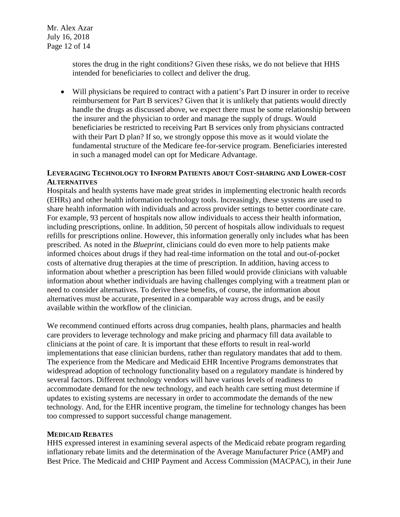Mr. Alex Azar July 16, 2018 Page 12 of 14

> stores the drug in the right conditions? Given these risks, we do not believe that HHS intended for beneficiaries to collect and deliver the drug.

• Will physicians be required to contract with a patient's Part D insurer in order to receive reimbursement for Part B services? Given that it is unlikely that patients would directly handle the drugs as discussed above, we expect there must be some relationship between the insurer and the physician to order and manage the supply of drugs. Would beneficiaries be restricted to receiving Part B services only from physicians contracted with their Part D plan? If so, we strongly oppose this move as it would violate the fundamental structure of the Medicare fee-for-service program. Beneficiaries interested in such a managed model can opt for Medicare Advantage.

## **LEVERAGING TECHNOLOGY TO INFORM PATIENTS ABOUT COST-SHARING AND LOWER-COST ALTERNATIVES**

Hospitals and health systems have made great strides in implementing electronic health records (EHRs) and other health information technology tools. Increasingly, these systems are used to share health information with individuals and across provider settings to better coordinate care. For example, 93 percent of hospitals now allow individuals to access their health information, including prescriptions, online. In addition, 50 percent of hospitals allow individuals to request refills for prescriptions online. However, this information generally only includes what has been prescribed. As noted in the *Blueprint*, clinicians could do even more to help patients make informed choices about drugs if they had real-time information on the total and out-of-pocket costs of alternative drug therapies at the time of prescription. In addition, having access to information about whether a prescription has been filled would provide clinicians with valuable information about whether individuals are having challenges complying with a treatment plan or need to consider alternatives. To derive these benefits, of course, the information about alternatives must be accurate, presented in a comparable way across drugs, and be easily available within the workflow of the clinician.

We recommend continued efforts across drug companies, health plans, pharmacies and health care providers to leverage technology and make pricing and pharmacy fill data available to clinicians at the point of care. It is important that these efforts to result in real-world implementations that ease clinician burdens, rather than regulatory mandates that add to them. The experience from the Medicare and Medicaid EHR Incentive Programs demonstrates that widespread adoption of technology functionality based on a regulatory mandate is hindered by several factors. Different technology vendors will have various levels of readiness to accommodate demand for the new technology, and each health care setting must determine if updates to existing systems are necessary in order to accommodate the demands of the new technology. And, for the EHR incentive program, the timeline for technology changes has been too compressed to support successful change management.

### **MEDICAID REBATES**

HHS expressed interest in examining several aspects of the Medicaid rebate program regarding inflationary rebate limits and the determination of the Average Manufacturer Price (AMP) and Best Price. The Medicaid and CHIP Payment and Access Commission (MACPAC), in their June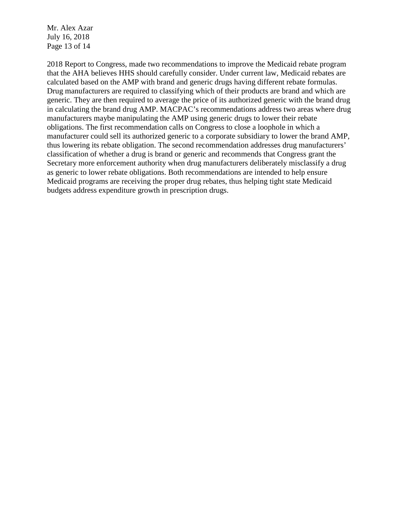Mr. Alex Azar July 16, 2018 Page 13 of 14

2018 Report to Congress, made two recommendations to improve the Medicaid rebate program that the AHA believes HHS should carefully consider. Under current law, Medicaid rebates are calculated based on the AMP with brand and generic drugs having different rebate formulas. Drug manufacturers are required to classifying which of their products are brand and which are generic. They are then required to average the price of its authorized generic with the brand drug in calculating the brand drug AMP. MACPAC's recommendations address two areas where drug manufacturers maybe manipulating the AMP using generic drugs to lower their rebate obligations. The first recommendation calls on Congress to close a loophole in which a manufacturer could sell its authorized generic to a corporate subsidiary to lower the brand AMP, thus lowering its rebate obligation. The second recommendation addresses drug manufacturers' classification of whether a drug is brand or generic and recommends that Congress grant the Secretary more enforcement authority when drug manufacturers deliberately misclassify a drug as generic to lower rebate obligations. Both recommendations are intended to help ensure Medicaid programs are receiving the proper drug rebates, thus helping tight state Medicaid budgets address expenditure growth in prescription drugs.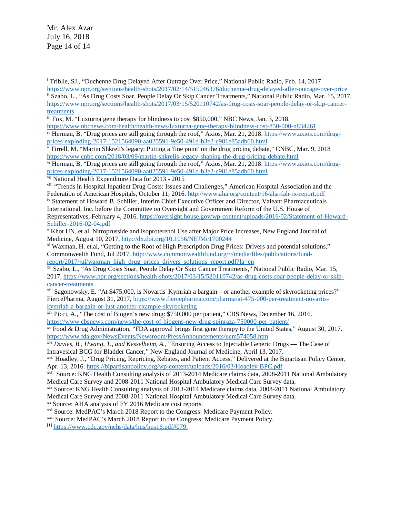Mr. Alex Azar July 16, 2018 Page 14 of 14

<span id="page-13-6"></span>vii National Health Expenditure Data for 2013 - 2015

<span id="page-13-8"></span><span id="page-13-7"></span>viii "Trends in Hospital Inpatient Drug Costs: Issues and Challenges," American Hospital Association and the Federation of American Hospitals, October 11, 2016[. http://www.aha.org/content/16/aha-fah-rx-report.pdf](http://www.aha.org/content/16/aha-fah-rx-report.pdf) ix Statement of Howard B. Schiller, Interim Chief Executive Officer and Director, Valeant Pharmaceuticals International, Inc. before the Committee on Oversight and Government Reform of the U.S. House of Representatives, February 4, 2016. [https://oversight.house.gov/wp-content/uploads/2016/02/Statement-of-Howard-](https://oversight.house.gov/wp-content/uploads/2016/02/Statement-of-Howard-Schiller-2016-02-04.pdf)

[Schiller-2016-02-04.pdf](https://oversight.house.gov/wp-content/uploads/2016/02/Statement-of-Howard-Schiller-2016-02-04.pdf)

<span id="page-13-11"></span>xii Szabo, L., "As Drug Costs Soar, People Delay Or Skip Cancer Treatments," National Public Radio, Mar. 15, 2017, [https://www.npr.org/sections/health-shots/2017/03/15/520110742/as-drug-costs-soar-people-delay-or-skip](https://www.npr.org/sections/health-shots/2017/03/15/520110742/as-drug-costs-soar-people-delay-or-skip-cancer-treatments)[cancer-treatments](https://www.npr.org/sections/health-shots/2017/03/15/520110742/as-drug-costs-soar-people-delay-or-skip-cancer-treatments)

<span id="page-13-12"></span>xiii Sagonowsky, E. "At \$475,000, is Novartis' Kymriah a bargain—or another example of skyrocketing prices?" FiercePharma, August 31, 2017, [https://www.fiercepharma.com/pharma/at-475-000-per-treatment-novartis](https://www.fiercepharma.com/pharma/at-475-000-per-treatment-novartis-kymriah-a-bargain-or-just-another-example-skyrocketing)[kymriah-a-bargain-or-just-another-example-skyrocketing](https://www.fiercepharma.com/pharma/at-475-000-per-treatment-novartis-kymriah-a-bargain-or-just-another-example-skyrocketing)

<span id="page-13-13"></span><sup>xiv</sup> Picci, A., "The cost of Biogen's new drug: \$750,000 per patient," CBS News, December 16, 2016. <https://www.cbsnews.com/news/the-cost-of-biogens-new-drug-spinraza-750000-per-patient/>

<span id="page-13-14"></span>xv Food & Drug Administration, "FDA approval brings first gene therapy to the United States," August 30, 2017. <https://www.fda.gov/NewsEvents/Newsroom/PressAnnouncements/ucm574058.htm>

<span id="page-13-16"></span>xvii Hoadley, J., "Drug Pricing, Repricing, Rebates, and Patient Access," Delivered at the Bipartisan Policy Center, Apr. 13, 2016[. https://bipartisanpolicy.org/wp-content/uploads/2016/03/Hoadley-BPC.pdf](https://bipartisanpolicy.org/wp-content/uploads/2016/03/Hoadley-BPC.pdf)

xviii Source: KNG Health Consulting analysis of 2013-2014 Medicare claims data, 2008-2011 National Ambulatory Medical Care Survey and 2008-2011 National Hospital Ambulatory Medical Care Survey data.

<span id="page-13-17"></span>xix Source: KNG Health Consulting analysis of 2013-2014 Medicare claims data, 2008-2011 National Ambulatory Medical Care Survey and 2008-2011 National Hospital Ambulatory Medical Care Survey data.

<span id="page-13-18"></span>xx Source: AHA analysis of FY 2016 Medicare cost reports.

<span id="page-13-19"></span>xxi Source: MedPAC's March 2018 Report to the Congress: Medicare Payment Policy.

<span id="page-13-20"></span>xxii Source: MedPAC's March 2018 Report to the Congress: Medicare Payment Policy.

<span id="page-13-21"></span>[1] [https://www.cdc.gov/nchs/data/hus/hus16.pdf#079.](https://www.cdc.gov/nchs/data/hus/hus16.pdf#079)

<span id="page-13-0"></span><sup>i</sup> Triblle, SJ., "Duchenne Drug Delayed After Outrage Over Price," National Public Radio, Feb. 14, 2017 <https://www.npr.org/sections/health-shots/2017/02/14/515046376/duchenne-drug-delayed-after-outrage-over-price>  $\overline{a}$ 

<span id="page-13-1"></span>ii Szabo, L., "As Drug Costs Soar, People Delay Or Skip Cancer Treatments," National Public Radio, Mar. 15, 2017, [https://www.npr.org/sections/health-shots/2017/03/15/520110742/as-drug-costs-soar-people-delay-or-skip-cancer](https://www.npr.org/sections/health-shots/2017/03/15/520110742/as-drug-costs-soar-people-delay-or-skip-cancer-treatments)[treatments](https://www.npr.org/sections/health-shots/2017/03/15/520110742/as-drug-costs-soar-people-delay-or-skip-cancer-treatments)

<span id="page-13-2"></span>iii Fox, M. "Luxturna gene therapy for blindness to cost \$850,000," NBC News, Jan. 3, 2018.

<https://www.nbcnews.com/health/health-news/luxturna-gene-therapy-blindness-cost-850-000-n834261>

<span id="page-13-3"></span>iv Herman, B. "Drug prices are still going through the roof," Axios, Mar. 21, 2018. [https://www.axios.com/drug](https://www.axios.com/drug-prices-exploding-2017-1521564090-aa025591-9e50-491d-b3e2-c981e85adb60.html)[prices-exploding-2017-1521564090-aa025591-9e50-491d-b3e2-c981e85adb60.html](https://www.axios.com/drug-prices-exploding-2017-1521564090-aa025591-9e50-491d-b3e2-c981e85adb60.html)

<span id="page-13-4"></span><sup>v</sup> Tirrell, M. "Martin Shkreli's legacy: Putting a 'fine point' on the drug pricing debate," CNBC, Mar. 9, 2018 <https://www.cnbc.com/2018/03/09/martin-shkrelis-legacy-shaping-the-drug-pricing-debate.html>

<span id="page-13-5"></span>vi Herman, B. "Drug prices are still going through the roof," Axios, Mar. 21, 2018. [https://www.axios.com/drug](https://www.axios.com/drug-prices-exploding-2017-1521564090-aa025591-9e50-491d-b3e2-c981e85adb60.html)[prices-exploding-2017-1521564090-aa025591-9e50-491d-b3e2-c981e85adb60.html](https://www.axios.com/drug-prices-exploding-2017-1521564090-aa025591-9e50-491d-b3e2-c981e85adb60.html)

<span id="page-13-9"></span><sup>x</sup> Khot UN, et al. Nitroprusside and Isoproterenol Use after Major Price Increases, New England Journal of Medicine, August 10, 2017.<http://dx.doi.org/10.1056/NEJMc1700244>

<span id="page-13-10"></span>xi Waxman, H. et.al, "Getting to the Root of High Prescription Drug Prices: Drivers and potential solutions," Commonwealth Fund, Jul 2017. [http://www.commonwealthfund.org/~/media/files/publications/fund](http://www.commonwealthfund.org/%7E/media/files/publications/fund-report/2017/jul/waxman_high_drug_prices_drivers_solutions_report.pdf?la=en)[report/2017/jul/waxman\\_high\\_drug\\_prices\\_drivers\\_solutions\\_report.pdf?la=en](http://www.commonwealthfund.org/%7E/media/files/publications/fund-report/2017/jul/waxman_high_drug_prices_drivers_solutions_report.pdf?la=en)

<span id="page-13-15"></span>xvi *Davies, B., Hwang, T., and Kesselheim, A.*, "Ensuring Access to Injectable Generic Drugs — The Case of Intravesical BCG for Bladder Cancer," New England Journal of Medicine, April 13, 2017.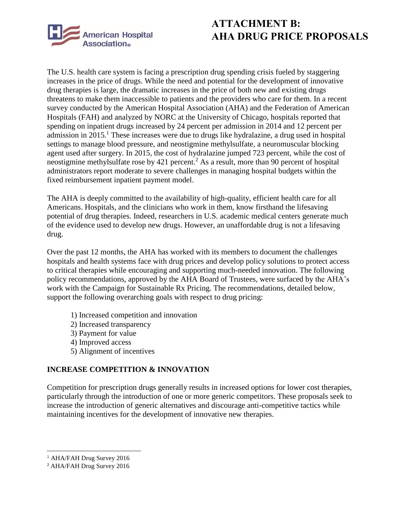

## **ATTACHMENT B: AHA DRUG PRICE PROPOSALS**

The U.S. health care system is facing a prescription drug spending crisis fueled by staggering increases in the price of drugs. While the need and potential for the development of innovative drug therapies is large, the dramatic increases in the price of both new and existing drugs threatens to make them inaccessible to patients and the providers who care for them. In a recent survey conducted by the American Hospital Association (AHA) and the Federation of American Hospitals (FAH) and analyzed by NORC at the University of Chicago, hospitals reported that spending on inpatient drugs increased by 24 percent per admission in 2014 and 12 percent per admission in 2015.<sup>1</sup> These increases were due to drugs like hydralazine, a drug used in hospital settings to manage blood pressure, and neostigmine methylsulfate, a neuromuscular blocking agent used after surgery. In 2015, the cost of hydralazine jumped 723 percent, while the cost of neostigmine methylsulfate rose by 421 percent.<sup>2</sup> As a result, more than 90 percent of hospital administrators report moderate to severe challenges in managing hospital budgets within the fixed reimbursement inpatient payment model.

The AHA is deeply committed to the availability of high-quality, efficient health care for all Americans. Hospitals, and the clinicians who work in them, know firsthand the lifesaving potential of drug therapies. Indeed, researchers in U.S. academic medical centers generate much of the evidence used to develop new drugs. However, an unaffordable drug is not a lifesaving drug.

Over the past 12 months, the AHA has worked with its members to document the challenges hospitals and health systems face with drug prices and develop policy solutions to protect access to critical therapies while encouraging and supporting much-needed innovation. The following policy recommendations, approved by the AHA Board of Trustees, were surfaced by the AHA's work with the Campaign for Sustainable Rx Pricing. The recommendations, detailed below, support the following overarching goals with respect to drug pricing:

- 1) Increased competition and innovation
- 2) Increased transparency
- 3) Payment for value
- 4) Improved access
- 5) Alignment of incentives

## **INCREASE COMPETITION & INNOVATION**

Competition for prescription drugs generally results in increased options for lower cost therapies, particularly through the introduction of one or more generic competitors. These proposals seek to increase the introduction of generic alternatives and discourage anti-competitive tactics while maintaining incentives for the development of innovative new therapies.

<sup>1</sup> AHA/FAH Drug Survey 2016

<sup>2</sup> AHA/FAH Drug Survey 2016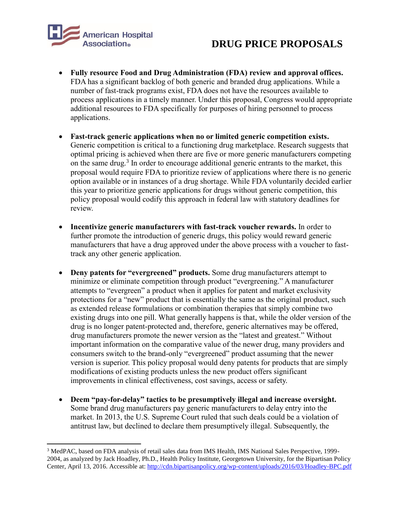

 $\overline{\phantom{a}}$ 

# **DRUG PRICE PROPOSALS**

- **Fully resource Food and Drug Administration (FDA) review and approval offices.** FDA has a significant backlog of both generic and branded drug applications. While a number of fast-track programs exist, FDA does not have the resources available to process applications in a timely manner. Under this proposal, Congress would appropriate additional resources to FDA specifically for purposes of hiring personnel to process applications.
- **Fast-track generic applications when no or limited generic competition exists.** Generic competition is critical to a functioning drug marketplace. Research suggests that optimal pricing is achieved when there are five or more generic manufacturers competing on the same drug.<sup>3</sup> In order to encourage additional generic entrants to the market, this proposal would require FDA to prioritize review of applications where there is no generic option available or in instances of a drug shortage. While FDA voluntarily decided earlier this year to prioritize generic applications for drugs without generic competition, this policy proposal would codify this approach in federal law with statutory deadlines for review.
- **Incentivize generic manufacturers with fast-track voucher rewards.** In order to further promote the introduction of generic drugs, this policy would reward generic manufacturers that have a drug approved under the above process with a voucher to fasttrack any other generic application.
- **Deny patents for "evergreened" products.** Some drug manufacturers attempt to minimize or eliminate competition through product "evergreening." A manufacturer attempts to "evergreen" a product when it applies for patent and market exclusivity protections for a "new" product that is essentially the same as the original product, such as extended release formulations or combination therapies that simply combine two existing drugs into one pill. What generally happens is that, while the older version of the drug is no longer patent-protected and, therefore, generic alternatives may be offered, drug manufacturers promote the newer version as the "latest and greatest." Without important information on the comparative value of the newer drug, many providers and consumers switch to the brand-only "evergreened" product assuming that the newer version is superior. This policy proposal would deny patents for products that are simply modifications of existing products unless the new product offers significant improvements in clinical effectiveness, cost savings, access or safety.
- **Deem "pay-for-delay" tactics to be presumptively illegal and increase oversight.**  Some brand drug manufacturers pay generic manufacturers to delay entry into the market. In 2013, the U.S. Supreme Court ruled that such deals could be a violation of antitrust law, but declined to declare them presumptively illegal. Subsequently, the

<sup>3</sup> MedPAC, based on FDA analysis of retail sales data from IMS Health, IMS National Sales Perspective, 1999- 2004, as analyzed by Jack Hoadley, Ph.D., Health Policy Institute, Georgetown University, for the Bipartisan Policy Center, April 13, 2016. Accessible at[: http://cdn.bipartisanpolicy.org/wp-content/uploads/2016/03/Hoadley-BPC.pdf](http://cdn.bipartisanpolicy.org/wp-content/uploads/2016/03/Hoadley-BPC.pdf)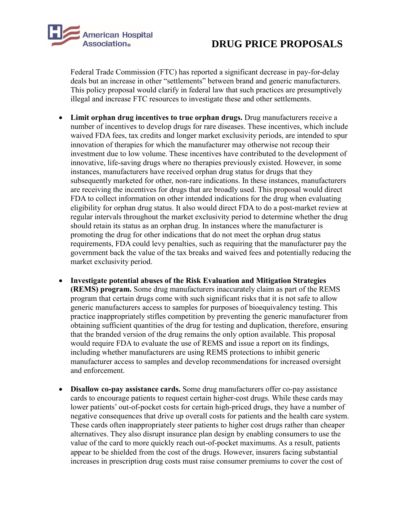

Federal Trade Commission (FTC) has reported a significant decrease in pay-for-delay deals but an increase in other "settlements" between brand and generic manufacturers. This policy proposal would clarify in federal law that such practices are presumptively illegal and increase FTC resources to investigate these and other settlements.

- Limit orphan drug incentives to true orphan drugs. Drug manufacturers receive a number of incentives to develop drugs for rare diseases. These incentives, which include waived FDA fees, tax credits and longer market exclusivity periods, are intended to spur innovation of therapies for which the manufacturer may otherwise not recoup their investment due to low volume. These incentives have contributed to the development of innovative, life-saving drugs where no therapies previously existed. However, in some instances, manufacturers have received orphan drug status for drugs that they subsequently marketed for other, non-rare indications. In these instances, manufacturers are receiving the incentives for drugs that are broadly used. This proposal would direct FDA to collect information on other intended indications for the drug when evaluating eligibility for orphan drug status. It also would direct FDA to do a post-market review at regular intervals throughout the market exclusivity period to determine whether the drug should retain its status as an orphan drug. In instances where the manufacturer is promoting the drug for other indications that do not meet the orphan drug status requirements, FDA could levy penalties, such as requiring that the manufacturer pay the government back the value of the tax breaks and waived fees and potentially reducing the market exclusivity period.
- **Investigate potential abuses of the Risk Evaluation and Mitigation Strategies (REMS) program.** Some drug manufacturers inaccurately claim as part of the REMS program that certain drugs come with such significant risks that it is not safe to allow generic manufacturers access to samples for purposes of bioequivalency testing. This practice inappropriately stifles competition by preventing the generic manufacturer from obtaining sufficient quantities of the drug for testing and duplication, therefore, ensuring that the branded version of the drug remains the only option available. This proposal would require FDA to evaluate the use of REMS and issue a report on its findings, including whether manufacturers are using REMS protections to inhibit generic manufacturer access to samples and develop recommendations for increased oversight and enforcement.
- **Disallow co-pay assistance cards.** Some drug manufacturers offer co-pay assistance cards to encourage patients to request certain higher-cost drugs. While these cards may lower patients' out-of-pocket costs for certain high-priced drugs, they have a number of negative consequences that drive up overall costs for patients and the health care system. These cards often inappropriately steer patients to higher cost drugs rather than cheaper alternatives. They also disrupt insurance plan design by enabling consumers to use the value of the card to more quickly reach out-of-pocket maximums. As a result, patients appear to be shielded from the cost of the drugs. However, insurers facing substantial increases in prescription drug costs must raise consumer premiums to cover the cost of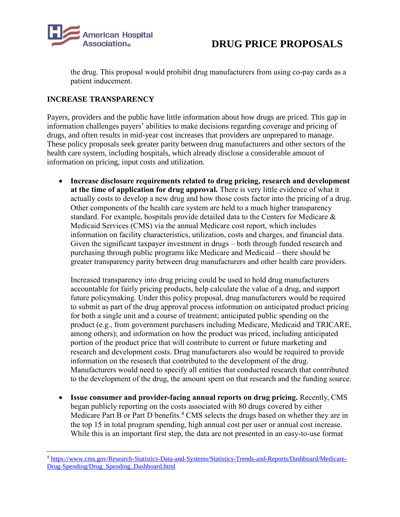

the drug. This proposal would prohibit drug manufacturers from using co-pay cards as a patient inducement.

## **INCREASE TRANSPARENCY**

 $\overline{\phantom{a}}$ 

Payers, providers and the public have little information about how drugs are priced. This gap in information challenges payers' abilities to make decisions regarding coverage and pricing of drugs, and often results in mid-year cost increases that providers are unprepared to manage. These policy proposals seek greater parity between drug manufacturers and other sectors of the health care system, including hospitals, which already disclose a considerable amount of information on pricing, input costs and utilization.

 **Increase disclosure requirements related to drug pricing, research and development at the time of application for drug approval.** There is very little evidence of what it actually costs to develop a new drug and how those costs factor into the pricing of a drug. Other components of the health care system are held to a much higher transparency standard. For example, hospitals provide detailed data to the Centers for Medicare & Medicaid Services (CMS) via the annual Medicare cost report, which includes information on facility characteristics, utilization, costs and charges, and financial data. Given the significant taxpayer investment in drugs – both through funded research and purchasing through public programs like Medicare and Medicaid – there should be greater transparency parity between drug manufacturers and other health care providers.

Increased transparency into drug pricing could be used to hold drug manufacturers accountable for fairly pricing products, help calculate the value of a drug, and support future policymaking. Under this policy proposal, drug manufacturers would be required to submit as part of the drug approval process information on anticipated product pricing for both a single unit and a course of treatment; anticipated public spending on the product (e.g., from government purchasers including Medicare, Medicaid and TRICARE, among others); and information on how the product was priced, including anticipated portion of the product price that will contribute to current or future marketing and research and development costs. Drug manufacturers also would be required to provide information on the research that contributed to the development of the drug. Manufacturers would need to specify all entities that conducted research that contributed to the development of the drug, the amount spent on that research and the funding source.

 **Issue consumer and provider-facing annual reports on drug pricing.** Recently, CMS began publicly reporting on the costs associated with 80 drugs covered by either Medicare Part B or Part D benefits.<sup>4</sup> CMS selects the drugs based on whether they are in the top 15 in total program spending, high annual cost per user or annual cost increase. While this is an important first step, the data are not presented in an easy-to-use format

<sup>4</sup> [https://www.cms.gov/Research-Statistics-Data-and-Systems/Statistics-Trends-and-Reports/Dashboard/Medicare-](https://www.cms.gov/Research-Statistics-Data-and-Systems/Statistics-Trends-and-Reports/Dashboard/Medicare-Drug-Spending/Drug_Spending_Dashboard.html)[Drug-Spending/Drug\\_Spending\\_Dashboard.html](https://www.cms.gov/Research-Statistics-Data-and-Systems/Statistics-Trends-and-Reports/Dashboard/Medicare-Drug-Spending/Drug_Spending_Dashboard.html)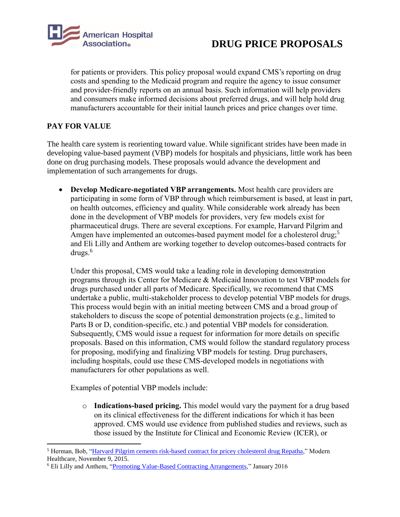

for patients or providers. This policy proposal would expand CMS's reporting on drug costs and spending to the Medicaid program and require the agency to issue consumer and provider-friendly reports on an annual basis. Such information will help providers and consumers make informed decisions about preferred drugs, and will help hold drug manufacturers accountable for their initial launch prices and price changes over time.

## **PAY FOR VALUE**

 $\overline{\phantom{a}}$ 

The health care system is reorienting toward value. While significant strides have been made in developing value-based payment (VBP) models for hospitals and physicians, little work has been done on drug purchasing models. These proposals would advance the development and implementation of such arrangements for drugs.

 **Develop Medicare-negotiated VBP arrangements.** Most health care providers are participating in some form of VBP through which reimbursement is based, at least in part, on health outcomes, efficiency and quality. While considerable work already has been done in the development of VBP models for providers, very few models exist for pharmaceutical drugs. There are several exceptions. For example, Harvard Pilgrim and Amgen have implemented an outcomes-based payment model for a cholesterol drug;<sup>5</sup> and Eli Lilly and Anthem are working together to develop outcomes-based contracts for drugs.<sup>6</sup>

Under this proposal, CMS would take a leading role in developing demonstration programs through its Center for Medicare & Medicaid Innovation to test VBP models for drugs purchased under all parts of Medicare. Specifically, we recommend that CMS undertake a public, multi-stakeholder process to develop potential VBP models for drugs. This process would begin with an initial meeting between CMS and a broad group of stakeholders to discuss the scope of potential demonstration projects (e.g., limited to Parts B or D, condition-specific, etc.) and potential VBP models for consideration. Subsequently, CMS would issue a request for information for more details on specific proposals. Based on this information, CMS would follow the standard regulatory process for proposing, modifying and finalizing VBP models for testing. Drug purchasers, including hospitals, could use these CMS-developed models in negotiations with manufacturers for other populations as well.

Examples of potential VBP models include:

o **Indications-based pricing.** This model would vary the payment for a drug based on its clinical effectiveness for the different indications for which it has been approved. CMS would use evidence from published studies and reviews, such as those issued by the Institute for Clinical and Economic Review (ICER), or

<sup>5</sup> Herman, Bob, ["Harvard Pilgrim cements risk-based contract for pricey cholesterol drug Repatha,](http://www.modernhealthcare.com/article/20151109/NEWS/151109899)" Modern Healthcare, November 9, 2015.

<sup>6</sup> Eli Lilly and Anthem, ["Promoting Value-Based Contracting Arrangements,](https://lillypad.lilly.com/WP/wp-content/uploads/LillyAnthemWP2.pdf)" January 2016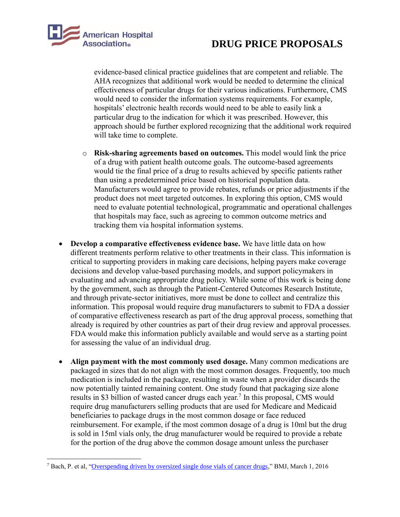

evidence-based clinical practice guidelines that are competent and reliable. The AHA recognizes that additional work would be needed to determine the clinical effectiveness of particular drugs for their various indications. Furthermore, CMS would need to consider the information systems requirements. For example, hospitals' electronic health records would need to be able to easily link a particular drug to the indication for which it was prescribed. However, this approach should be further explored recognizing that the additional work required will take time to complete.

- o **Risk-sharing agreements based on outcomes.** This model would link the price of a drug with patient health outcome goals. The outcome-based agreements would tie the final price of a drug to results achieved by specific patients rather than using a predetermined price based on historical population data. Manufacturers would agree to provide rebates, refunds or price adjustments if the product does not meet targeted outcomes. In exploring this option, CMS would need to evaluate potential technological, programmatic and operational challenges that hospitals may face, such as agreeing to common outcome metrics and tracking them via hospital information systems.
- **Develop a comparative effectiveness evidence base.** We have little data on how different treatments perform relative to other treatments in their class. This information is critical to supporting providers in making care decisions, helping payers make coverage decisions and develop value-based purchasing models, and support policymakers in evaluating and advancing appropriate drug policy. While some of this work is being done by the government, such as through the Patient-Centered Outcomes Research Institute, and through private-sector initiatives, more must be done to collect and centralize this information. This proposal would require drug manufacturers to submit to FDA a dossier of comparative effectiveness research as part of the drug approval process, something that already is required by other countries as part of their drug review and approval processes. FDA would make this information publicly available and would serve as a starting point for assessing the value of an individual drug.
- **Align payment with the most commonly used dosage.** Many common medications are packaged in sizes that do not align with the most common dosages. Frequently, too much medication is included in the package, resulting in waste when a provider discards the now potentially tainted remaining content. One study found that packaging size alone results in \$3 billion of wasted cancer drugs each year.<sup>7</sup> In this proposal, CMS would require drug manufacturers selling products that are used for Medicare and Medicaid beneficiaries to package drugs in the most common dosage or face reduced reimbursement. For example, if the most common dosage of a drug is 10ml but the drug is sold in 15ml vials only, the drug manufacturer would be required to provide a rebate for the portion of the drug above the common dosage amount unless the purchaser

 $\overline{\phantom{a}}$ <sup>7</sup> Bach, P. et al, ["Overspending driven by oversized single dose vials of cancer drugs,"](http://dx.doi.org/10.1136/bmj.i788) BMJ, March 1, 2016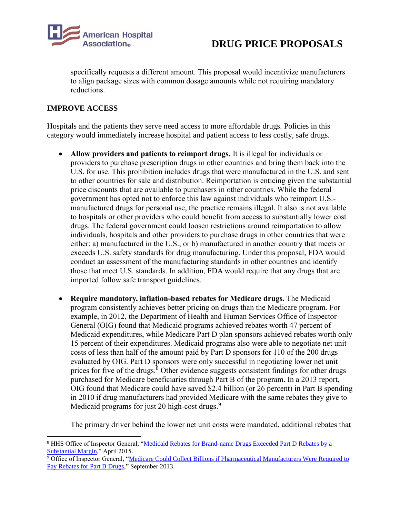

specifically requests a different amount. This proposal would incentivize manufacturers to align package sizes with common dosage amounts while not requiring mandatory reductions.

## **IMPROVE ACCESS**

 $\overline{\phantom{a}}$ 

Hospitals and the patients they serve need access to more affordable drugs. Policies in this category would immediately increase hospital and patient access to less costly, safe drugs.

- **Allow providers and patients to reimport drugs.** It is illegal for individuals or providers to purchase prescription drugs in other countries and bring them back into the U.S. for use. This prohibition includes drugs that were manufactured in the U.S. and sent to other countries for sale and distribution. Reimportation is enticing given the substantial price discounts that are available to purchasers in other countries. While the federal government has opted not to enforce this law against individuals who reimport U.S. manufactured drugs for personal use, the practice remains illegal. It also is not available to hospitals or other providers who could benefit from access to substantially lower cost drugs. The federal government could loosen restrictions around reimportation to allow individuals, hospitals and other providers to purchase drugs in other countries that were either: a) manufactured in the U.S., or b) manufactured in another country that meets or exceeds U.S. safety standards for drug manufacturing. Under this proposal, FDA would conduct an assessment of the manufacturing standards in other countries and identify those that meet U.S. standards. In addition, FDA would require that any drugs that are imported follow safe transport guidelines.
- **Require mandatory, inflation-based rebates for Medicare drugs.** The Medicaid program consistently achieves better pricing on drugs than the Medicare program. For example, in 2012, the Department of Health and Human Services Office of Inspector General (OIG) found that Medicaid programs achieved rebates worth 47 percent of Medicaid expenditures, while Medicare Part D plan sponsors achieved rebates worth only 15 percent of their expenditures. Medicaid programs also were able to negotiate net unit costs of less than half of the amount paid by Part D sponsors for 110 of the 200 drugs evaluated by OIG. Part D sponsors were only successful in negotiating lower net unit prices for five of the drugs.<sup>8</sup> Other evidence suggests consistent findings for other drugs purchased for Medicare beneficiaries through Part B of the program. In a 2013 report, OIG found that Medicare could have saved \$2.4 billion (or 26 percent) in Part B spending in 2010 if drug manufacturers had provided Medicare with the same rebates they give to Medicaid programs for just 20 high-cost drugs.<sup>9</sup>

The primary driver behind the lower net unit costs were mandated, additional rebates that

<sup>9</sup> Office of Inspector General, "Medicare Could Collect Billions if Pharmaceutical Manufacturers Were Required to [Pay Rebates for Part B Drugs,](http://oig.hhs.gov/oei/reports/oei-12-12-00260.pdf)" September 2013.

<sup>8</sup> HHS Office of Inspector General, ["Medicaid Rebates for Brand-name Drugs Exceeded Part D Rebates by](http://oig.hhs.gov/oei/reports/oei-03-13-00650.pdf) a [Substantial Margin,"](http://oig.hhs.gov/oei/reports/oei-03-13-00650.pdf) April 2015.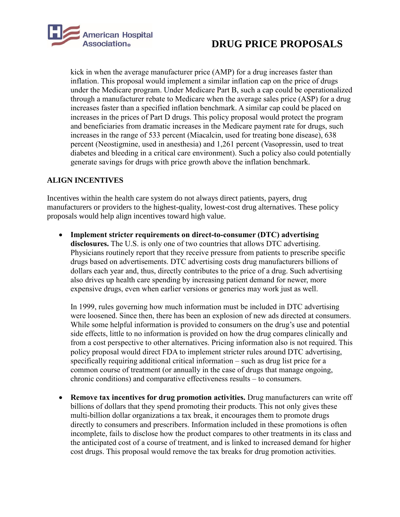

kick in when the average manufacturer price (AMP) for a drug increases faster than inflation. This proposal would implement a similar inflation cap on the price of drugs under the Medicare program. Under Medicare Part B, such a cap could be operationalized through a manufacturer rebate to Medicare when the average sales price (ASP) for a drug increases faster than a specified inflation benchmark. A similar cap could be placed on increases in the prices of Part D drugs. This policy proposal would protect the program and beneficiaries from dramatic increases in the Medicare payment rate for drugs, such increases in the range of 533 percent (Miacalcin, used for treating bone disease), 638 percent (Neostigmine, used in anesthesia) and 1,261 percent (Vasopressin, used to treat diabetes and bleeding in a critical care environment). Such a policy also could potentially generate savings for drugs with price growth above the inflation benchmark.

## **ALIGN INCENTIVES**

Incentives within the health care system do not always direct patients, payers, drug manufacturers or providers to the highest-quality, lowest-cost drug alternatives. These policy proposals would help align incentives toward high value.

 **Implement stricter requirements on direct-to-consumer (DTC) advertising disclosures.** The U.S. is only one of two countries that allows DTC advertising. Physicians routinely report that they receive pressure from patients to prescribe specific drugs based on advertisements. DTC advertising costs drug manufacturers billions of dollars each year and, thus, directly contributes to the price of a drug. Such advertising also drives up health care spending by increasing patient demand for newer, more expensive drugs, even when earlier versions or generics may work just as well.

In 1999, rules governing how much information must be included in DTC advertising were loosened. Since then, there has been an explosion of new ads directed at consumers. While some helpful information is provided to consumers on the drug's use and potential side effects, little to no information is provided on how the drug compares clinically and from a cost perspective to other alternatives. Pricing information also is not required. This policy proposal would direct FDA to implement stricter rules around DTC advertising, specifically requiring additional critical information – such as drug list price for a common course of treatment (or annually in the case of drugs that manage ongoing, chronic conditions) and comparative effectiveness results – to consumers.

 **Remove tax incentives for drug promotion activities.** Drug manufacturers can write off billions of dollars that they spend promoting their products. This not only gives these multi-billion dollar organizations a tax break, it encourages them to promote drugs directly to consumers and prescribers. Information included in these promotions is often incomplete, fails to disclose how the product compares to other treatments in its class and the anticipated cost of a course of treatment, and is linked to increased demand for higher cost drugs. This proposal would remove the tax breaks for drug promotion activities.